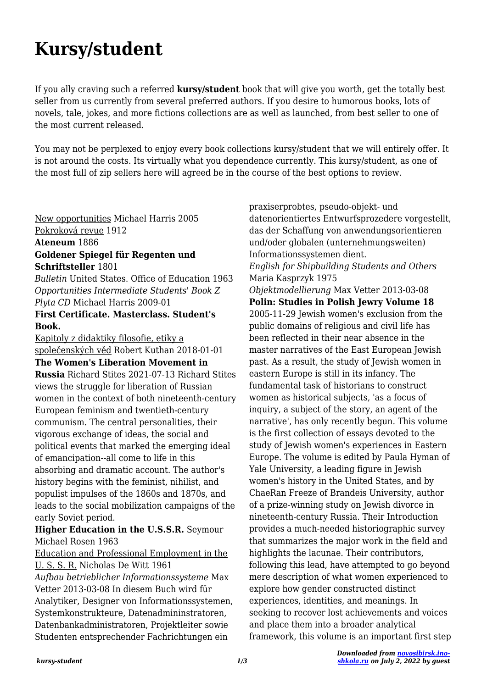# **Kursy/student**

If you ally craving such a referred **kursy/student** book that will give you worth, get the totally best seller from us currently from several preferred authors. If you desire to humorous books, lots of novels, tale, jokes, and more fictions collections are as well as launched, from best seller to one of the most current released.

You may not be perplexed to enjoy every book collections kursy/student that we will entirely offer. It is not around the costs. Its virtually what you dependence currently. This kursy/student, as one of the most full of zip sellers here will agreed be in the course of the best options to review.

#### New opportunities Michael Harris 2005 Pokroková revue 1912 **Ateneum** 1886

### **Goldener Spiegel für Regenten und Schriftsteller** 1801

*Bulletin* United States. Office of Education 1963 *Opportunities Intermediate Students' Book Z Plyta CD* Michael Harris 2009-01

#### **First Certificate. Masterclass. Student's Book.**

Kapitoly z didaktiky filosofie, etiky a společenských věd Robert Kuthan 2018-01-01 **The Women's Liberation Movement in Russia** Richard Stites 2021-07-13 Richard Stites views the struggle for liberation of Russian women in the context of both nineteenth-century European feminism and twentieth-century communism. The central personalities, their vigorous exchange of ideas, the social and political events that marked the emerging ideal of emancipation--all come to life in this absorbing and dramatic account. The author's history begins with the feminist, nihilist, and populist impulses of the 1860s and 1870s, and leads to the social mobilization campaigns of the early Soviet period.

#### **Higher Education in the U.S.S.R.** Seymour Michael Rosen 1963

Education and Professional Employment in the U. S. S. R. Nicholas De Witt 1961

*Aufbau betrieblicher Informationssysteme* Max Vetter 2013-03-08 In diesem Buch wird für Analytiker, Designer von Informationssystemen, Systemkonstrukteure, Datenadmininstratoren, Datenbankadministratoren, Projektleiter sowie Studenten entsprechender Fachrichtungen ein

praxiserprobtes, pseudo-objekt- und datenorientiertes Entwurfsprozedere vorgestellt, das der Schaffung von anwendungsorientieren und/oder globalen (unternehmungsweiten) Informationssystemen dient. *English for Shipbuilding Students and Others* Maria Kasprzyk 1975 *Objektmodellierung* Max Vetter 2013-03-08 **Polin: Studies in Polish Jewry Volume 18** 2005-11-29 Jewish women's exclusion from the public domains of religious and civil life has been reflected in their near absence in the master narratives of the East European Jewish past. As a result, the study of Jewish women in eastern Europe is still in its infancy. The fundamental task of historians to construct women as historical subjects, 'as a focus of inquiry, a subject of the story, an agent of the narrative', has only recently begun. This volume is the first collection of essays devoted to the study of Jewish women's experiences in Eastern Europe. The volume is edited by Paula Hyman of Yale University, a leading figure in Jewish women's history in the United States, and by ChaeRan Freeze of Brandeis University, author of a prize-winning study on Jewish divorce in nineteenth-century Russia. Their Introduction provides a much-needed historiographic survey that summarizes the major work in the field and highlights the lacunae. Their contributors, following this lead, have attempted to go beyond mere description of what women experienced to explore how gender constructed distinct experiences, identities, and meanings. In seeking to recover lost achievements and voices and place them into a broader analytical framework, this volume is an important first step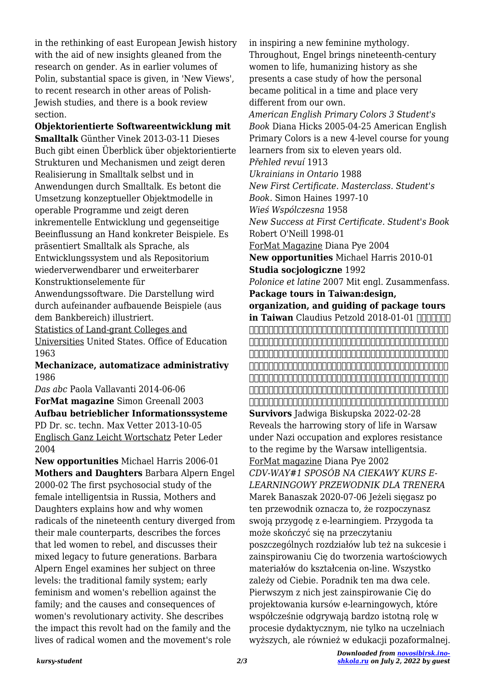in the rethinking of east European Jewish history with the aid of new insights gleaned from the research on gender. As in earlier volumes of Polin, substantial space is given, in 'New Views', to recent research in other areas of Polish-Jewish studies, and there is a book review section.

**Objektorientierte Softwareentwicklung mit Smalltalk** Günther Vinek 2013-03-11 Dieses Buch gibt einen Überblick über objektorientierte Strukturen und Mechanismen und zeigt deren Realisierung in Smalltalk selbst und in Anwendungen durch Smalltalk. Es betont die Umsetzung konzeptueller Objektmodelle in operable Programme und zeigt deren inkrementelle Entwicklung und gegenseitige Beeinflussung an Hand konkreter Beispiele. Es präsentiert Smalltalk als Sprache, als Entwicklungssystem und als Repositorium wiederverwendbarer und erweiterbarer Konstruktionselemente für

Anwendungssoftware. Die Darstellung wird durch aufeinander aufbauende Beispiele (aus dem Bankbereich) illustriert.

Statistics of Land-grant Colleges and Universities United States. Office of Education 1963

**Mechanizace, automatizace administrativy** 1986

*Das abc* Paola Vallavanti 2014-06-06 **ForMat magazine** Simon Greenall 2003 **Aufbau betrieblicher Informationssysteme** PD Dr. sc. techn. Max Vetter 2013-10-05 Englisch Ganz Leicht Wortschatz Peter Leder 2004

**New opportunities** Michael Harris 2006-01 **Mothers and Daughters** Barbara Alpern Engel 2000-02 The first psychosocial study of the female intelligentsia in Russia, Mothers and Daughters explains how and why women radicals of the nineteenth century diverged from their male counterparts, describes the forces that led women to rebel, and discusses their mixed legacy to future generations. Barbara Alpern Engel examines her subject on three levels: the traditional family system; early feminism and women's rebellion against the family; and the causes and consequences of women's revolutionary activity. She describes the impact this revolt had on the family and the lives of radical women and the movement's role

in inspiring a new feminine mythology. Throughout, Engel brings nineteenth-century women to life, humanizing history as she presents a case study of how the personal became political in a time and place very different from our own. *American English Primary Colors 3 Student's Book* Diana Hicks 2005-04-25 American English Primary Colors is a new 4-level course for young learners from six to eleven years old. *Přehled revuí* 1913 *Ukrainians in Ontario* 1988 *New First Certificate. Masterclass. Student's Book.* Simon Haines 1997-10 *Wieś Wspólczesna* 1958 *New Success at First Certificate. Student's Book* Robert O'Neill 1998-01 ForMat Magazine Diana Pye 2004 **New opportunities** Michael Harris 2010-01 **Studia socjologiczne** 1992 *Polonice et latine* 2007 Mit engl. Zusammenfass. **Package tours in Taiwan:design, organization, and guiding of package tours in Taiwan** Claudius Petzold 2018-01-01 NHHHHH  $\Box$ 裝行程的導遊經驗,提出對台灣旅遊業批判性觀點,同時集結幾位專家為書中一些特殊主題做 出貢獻。本書以歐洲人的視角探究台灣旅遊業的不同層面:首先敘述以德語遊客為主的台灣旅 遊市場,並剖析台灣對德國旅行團的市場艱難,以及可能無法吸引大量歐洲旅遊團的原因。其 後涉及具體層面,如德國中型旅遊規劃的特殊風險管理、導遊標準作業程序及客運的安全法規 等。接續由專業人員介紹實用旅遊設計,並從許多實際問題出發,如許可證、過度及錯誤發展 等,旅遊動機及形象建設也在問題範圍之內。另外最後將介紹三種符合旅遊的另類旅行例子。 **Survivors** Jadwiga Biskupska 2022-02-28 Reveals the harrowing story of life in Warsaw under Nazi occupation and explores resistance to the regime by the Warsaw intelligentsia. ForMat magazine Diana Pye 2002 *CDV-WAY#1 SPOSÓB NA CIEKAWY KURS E-LEARNINGOWY PRZEWODNIK DLA TRENERA* Marek Banaszak 2020-07-06 Jeżeli sięgasz po ten przewodnik oznacza to, że rozpoczynasz swoją przygodę z e-learningiem. Przygoda ta może skończyć się na przeczytaniu poszczególnych rozdziałów lub też na sukcesie i zainspirowaniu Cię do tworzenia wartościowych materiałów do kształcenia on-line. Wszystko zależy od Ciebie. Poradnik ten ma dwa cele. Pierwszym z nich jest zainspirowanie Cię do projektowania kursów e-learningowych, które współcześnie odgrywają bardzo istotną rolę w procesie dydaktycznym, nie tylko na uczelniach wyższych, ale również w edukacji pozaformalnej.